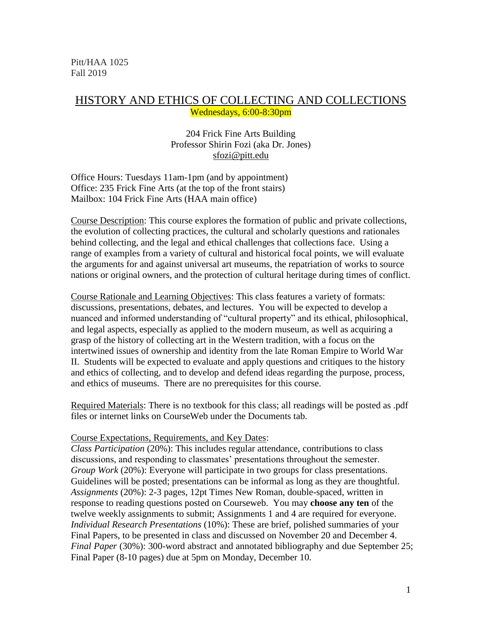Pitt/HAA 1025 Fall 2019

# HISTORY AND ETHICS OF COLLECTING AND COLLECTIONS Wednesdays, 6:00-8:30pm

# 204 Frick Fine Arts Building Professor Shirin Fozi (aka Dr. Jones) sfozi@pitt.edu

Office Hours: Tuesdays 11am-1pm (and by appointment) Office: 235 Frick Fine Arts (at the top of the front stairs) Mailbox: 104 Frick Fine Arts (HAA main office)

Course Description: This course explores the formation of public and private collections, the evolution of collecting practices, the cultural and scholarly questions and rationales behind collecting, and the legal and ethical challenges that collections face. Using a range of examples from a variety of cultural and historical focal points, we will evaluate the arguments for and against universal art museums, the repatriation of works to source nations or original owners, and the protection of cultural heritage during times of conflict.

Course Rationale and Learning Objectives: This class features a variety of formats: discussions, presentations, debates, and lectures. You will be expected to develop a nuanced and informed understanding of "cultural property" and its ethical, philosophical, and legal aspects, especially as applied to the modern museum, as well as acquiring a grasp of the history of collecting art in the Western tradition, with a focus on the intertwined issues of ownership and identity from the late Roman Empire to World War II. Students will be expected to evaluate and apply questions and critiques to the history and ethics of collecting, and to develop and defend ideas regarding the purpose, process, and ethics of museums. There are no prerequisites for this course.

Required Materials: There is no textbook for this class; all readings will be posted as .pdf files or internet links on CourseWeb under the Documents tab.

## Course Expectations, Requirements, and Key Dates:

*Class Participation* (20%): This includes regular attendance, contributions to class discussions, and responding to classmates' presentations throughout the semester. *Group Work* (20%): Everyone will participate in two groups for class presentations. Guidelines will be posted; presentations can be informal as long as they are thoughtful. *Assignments* (20%): 2-3 pages, 12pt Times New Roman, double-spaced, written in response to reading questions posted on Courseweb. You may **choose any ten** of the twelve weekly assignments to submit; Assignments 1 and 4 are required for everyone. *Individual Research Presentations* (10%): These are brief, polished summaries of your Final Papers, to be presented in class and discussed on November 20 and December 4. *Final Paper* (30%): 300-word abstract and annotated bibliography and due September 25; Final Paper (8-10 pages) due at 5pm on Monday, December 10.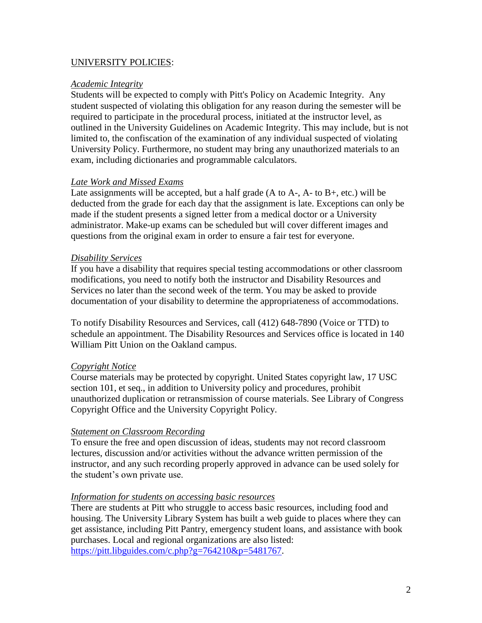# UNIVERSITY POLICIES:

## *Academic Integrity*

Students will be expected to comply with Pitt's Policy on Academic Integrity. Any student suspected of violating this obligation for any reason during the semester will be required to participate in the procedural process, initiated at the instructor level, as outlined in the University Guidelines on Academic Integrity. This may include, but is not limited to, the confiscation of the examination of any individual suspected of violating University Policy. Furthermore, no student may bring any unauthorized materials to an exam, including dictionaries and programmable calculators.

## *Late Work and Missed Exams*

Late assignments will be accepted, but a half grade  $(A \text{ to } A<sub>1</sub>, A<sub>1</sub>, A<sub>2</sub>, A<sub>3</sub>)$  will be deducted from the grade for each day that the assignment is late. Exceptions can only be made if the student presents a signed letter from a medical doctor or a University administrator. Make-up exams can be scheduled but will cover different images and questions from the original exam in order to ensure a fair test for everyone.

#### *Disability Services*

If you have a disability that requires special testing accommodations or other classroom modifications, you need to notify both the instructor and Disability Resources and Services no later than the second week of the term. You may be asked to provide documentation of your disability to determine the appropriateness of accommodations.

To notify Disability Resources and Services, call (412) 648-7890 (Voice or TTD) to schedule an appointment. The Disability Resources and Services office is located in 140 William Pitt Union on the Oakland campus.

## *Copyright Notice*

Course materials may be protected by copyright. United States copyright law, 17 USC section 101, et seq., in addition to University policy and procedures, prohibit unauthorized duplication or retransmission of course materials. See Library of Congress Copyright Office and the University Copyright Policy.

#### *Statement on Classroom Recording*

To ensure the free and open discussion of ideas, students may not record classroom lectures, discussion and/or activities without the advance written permission of the instructor, and any such recording properly approved in advance can be used solely for the student's own private use.

#### *Information for students on accessing basic resources*

There are students at Pitt who struggle to access basic resources, including food and housing. The University Library System has built a web guide to places where they can get assistance, including Pitt Pantry, emergency student loans, and assistance with book purchases. Local and regional organizations are also listed: [https://pitt.libguides.com/c.php?g=764210&p=5481767.](https://pitt.libguides.com/c.php?g=764210&p=5481767)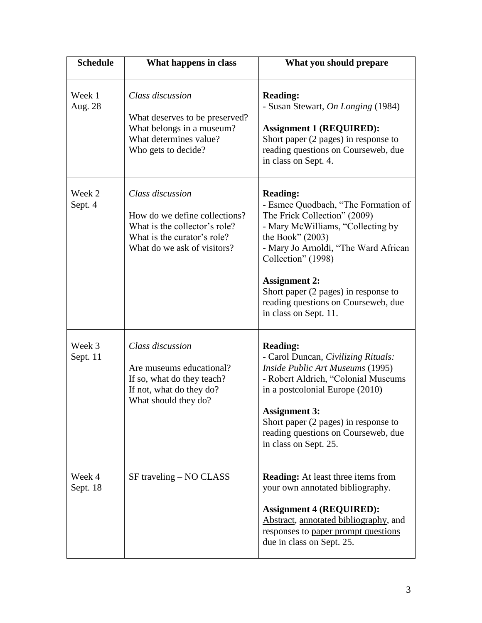| <b>Schedule</b>    | What happens in class                                                                                                                            | What you should prepare                                                                                                                                                                                                                                                                                                                         |
|--------------------|--------------------------------------------------------------------------------------------------------------------------------------------------|-------------------------------------------------------------------------------------------------------------------------------------------------------------------------------------------------------------------------------------------------------------------------------------------------------------------------------------------------|
| Week 1<br>Aug. 28  | Class discussion<br>What deserves to be preserved?<br>What belongs in a museum?<br>What determines value?<br>Who gets to decide?                 | <b>Reading:</b><br>- Susan Stewart, On Longing (1984)<br><b>Assignment 1 (REQUIRED):</b><br>Short paper (2 pages) in response to<br>reading questions on Courseweb, due<br>in class on Sept. 4.                                                                                                                                                 |
| Week 2<br>Sept. 4  | Class discussion<br>How do we define collections?<br>What is the collector's role?<br>What is the curator's role?<br>What do we ask of visitors? | <b>Reading:</b><br>- Esmee Quodbach, "The Formation of<br>The Frick Collection" (2009)<br>- Mary McWilliams, "Collecting by<br>the Book" $(2003)$<br>- Mary Jo Arnoldi, "The Ward African<br>Collection" (1998)<br><b>Assignment 2:</b><br>Short paper (2 pages) in response to<br>reading questions on Courseweb, due<br>in class on Sept. 11. |
| Week 3<br>Sept. 11 | Class discussion<br>Are museums educational?<br>If so, what do they teach?<br>If not, what do they do?<br>What should they do?                   | <b>Reading:</b><br>- Carol Duncan, Civilizing Rituals:<br>Inside Public Art Museums (1995)<br>- Robert Aldrich, "Colonial Museums<br>in a postcolonial Europe (2010)<br><b>Assignment 3:</b><br>Short paper (2 pages) in response to<br>reading questions on Courseweb, due<br>in class on Sept. 25.                                            |
| Week 4<br>Sept. 18 | SF traveling – NO CLASS                                                                                                                          | <b>Reading:</b> At least three items from<br>your own annotated bibliography.<br><b>Assignment 4 (REQUIRED):</b><br>Abstract, annotated bibliography, and<br>responses to paper prompt questions<br>due in class on Sept. 25.                                                                                                                   |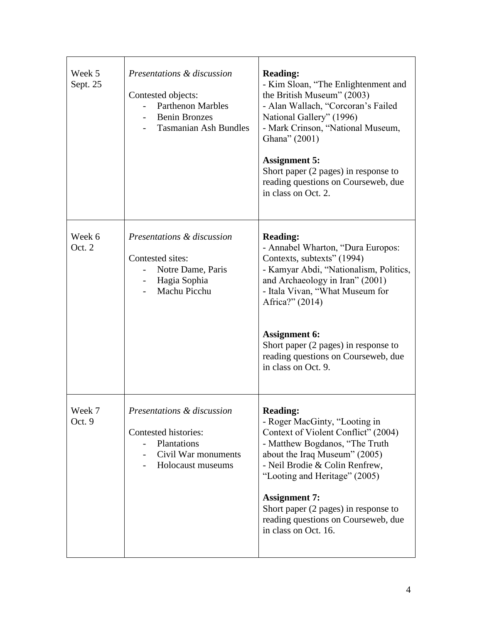| Week 5<br>Sept. 25 | Presentations & discussion<br>Contested objects:<br><b>Parthenon Marbles</b><br><b>Benin Bronzes</b><br><b>Tasmanian Ash Bundles</b> | <b>Reading:</b><br>- Kim Sloan, "The Enlightenment and<br>the British Museum" (2003)<br>- Alan Wallach, "Corcoran's Failed<br>National Gallery" (1996)<br>- Mark Crinson, "National Museum,<br>Ghana" (2001)<br><b>Assignment 5:</b><br>Short paper (2 pages) in response to<br>reading questions on Courseweb, due<br>in class on Oct. 2.                   |
|--------------------|--------------------------------------------------------------------------------------------------------------------------------------|--------------------------------------------------------------------------------------------------------------------------------------------------------------------------------------------------------------------------------------------------------------------------------------------------------------------------------------------------------------|
| Week 6<br>Oct. 2   | Presentations & discussion<br>Contested sites:<br>Notre Dame, Paris<br>Hagia Sophia<br>Machu Picchu                                  | <b>Reading:</b><br>- Annabel Wharton, "Dura Europos:<br>Contexts, subtexts" (1994)<br>- Kamyar Abdi, "Nationalism, Politics,<br>and Archaeology in Iran" (2001)<br>- Itala Vivan, "What Museum for<br>Africa?" (2014)<br><b>Assignment 6:</b><br>Short paper (2 pages) in response to<br>reading questions on Courseweb, due<br>in class on Oct. 9.          |
| Week 7<br>Oct. 9   | Presentations & discussion<br>Contested histories:<br>Plantations<br>Civil War monuments<br>Holocaust museums                        | <b>Reading:</b><br>- Roger MacGinty, "Looting in<br>Context of Violent Conflict" (2004)<br>- Matthew Bogdanos, "The Truth<br>about the Iraq Museum" (2005)<br>- Neil Brodie & Colin Renfrew,<br>"Looting and Heritage" (2005)<br><b>Assignment 7:</b><br>Short paper (2 pages) in response to<br>reading questions on Courseweb, due<br>in class on Oct. 16. |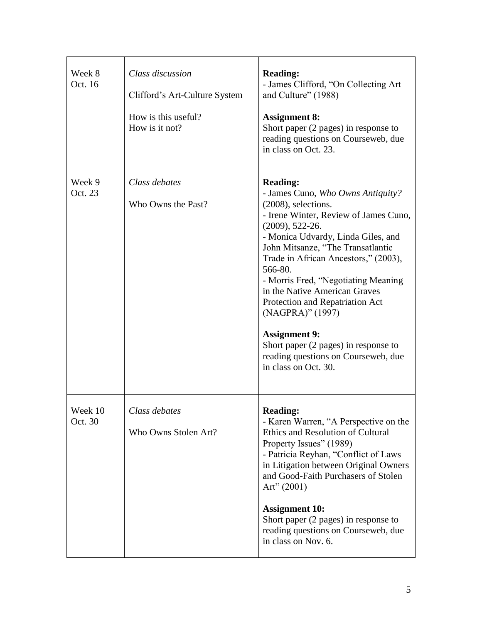| Week 8<br>Oct. 16  | Class discussion<br>Clifford's Art-Culture System<br>How is this useful?<br>How is it not? | <b>Reading:</b><br>- James Clifford, "On Collecting Art<br>and Culture" (1988)<br><b>Assignment 8:</b><br>Short paper (2 pages) in response to<br>reading questions on Courseweb, due<br>in class on Oct. 23.                                                                                                                                                                                                                                                                                                                         |
|--------------------|--------------------------------------------------------------------------------------------|---------------------------------------------------------------------------------------------------------------------------------------------------------------------------------------------------------------------------------------------------------------------------------------------------------------------------------------------------------------------------------------------------------------------------------------------------------------------------------------------------------------------------------------|
| Week 9<br>Oct. 23  | Class debates<br>Who Owns the Past?                                                        | <b>Reading:</b><br>- James Cuno, Who Owns Antiquity?<br>(2008), selections.<br>- Irene Winter, Review of James Cuno,<br>$(2009), 522-26.$<br>- Monica Udvardy, Linda Giles, and<br>John Mitsanze, "The Transatlantic<br>Trade in African Ancestors," (2003),<br>566-80.<br>- Morris Fred, "Negotiating Meaning<br>in the Native American Graves<br>Protection and Repatriation Act<br>(NAGPRA)" (1997)<br><b>Assignment 9:</b><br>Short paper (2 pages) in response to<br>reading questions on Courseweb, due<br>in class on Oct. 30. |
| Week 10<br>Oct. 30 | Class debates<br>Who Owns Stolen Art?                                                      | <b>Reading:</b><br>- Karen Warren, "A Perspective on the<br>Ethics and Resolution of Cultural<br>Property Issues" (1989)<br>- Patricia Reyhan, "Conflict of Laws<br>in Litigation between Original Owners<br>and Good-Faith Purchasers of Stolen<br>Art" $(2001)$<br><b>Assignment 10:</b><br>Short paper (2 pages) in response to<br>reading questions on Courseweb, due<br>in class on Nov. 6.                                                                                                                                      |